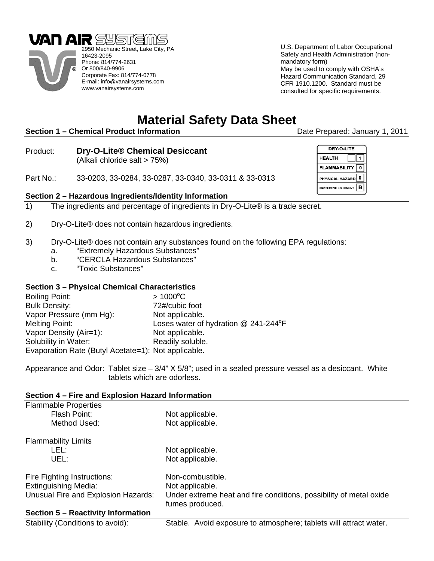



U.S. Department of Labor Occupational Safety and Health Administration (nonmandatory form)

May be used to comply with OSHA's Hazard Communication Standard, 29 CFR 1910.1200. Standard must be consulted for specific requirements.



eCompressedair.com | 866-650-1937

**Deliquescent Desiccant Part Numbers:** 1212028, 1283992, 1283993

# **Material Safety Data Sheet**

## **Section 1 – Chemical Product Information** *Date Prepared: January 1, 2011*

Product: **Dry-O-Lite® Chemical Desiccant** (Alkali chloride salt > 75%)

Part No.: 33-0203, 33-0284, 33-0287, 33-0340, 33-0311 & 33-0313

### **Section 2 – Hazardous Ingredients/Identity Information**

- 1) The ingredients and percentage of ingredients in Dry-O-Lite® is a trade secret.
- 2) Dry-O-Lite® does not contain hazardous ingredients.
- 3) Dry-O-Lite® does not contain any substances found on the following EPA regulations:
	- a. "Extremely Hazardous Substances"
	- b. "CERCLA Hazardous Substances"
	- c. "Toxic Substances"

#### **Section 3 – Physical Chemical Characteristics**

| <b>Boiling Point:</b>                               | $> 1000^{\circ}$ C                   |
|-----------------------------------------------------|--------------------------------------|
| <b>Bulk Density:</b>                                | 72#/cubic foot                       |
| Vapor Pressure (mm Hg):                             | Not applicable.                      |
| Melting Point:                                      | Loses water of hydration @ 241-244°F |
| Vapor Density (Air=1):                              | Not applicable.                      |
| Solubility in Water:                                | Readily soluble.                     |
| Evaporation Rate (Butyl Acetate=1): Not applicable. |                                      |

Appearance and Odor: Tablet size – 3/4" X 5/8"; used in a sealed pressure vessel as a desiccant. White tablets which are odorless.

#### **Section 4 – Fire and Explosion Hazard Information**

| <b>Flammable Properties</b>         |                                                                                       |
|-------------------------------------|---------------------------------------------------------------------------------------|
| Flash Point:                        | Not applicable.                                                                       |
| Method Used:                        | Not applicable.                                                                       |
| <b>Flammability Limits</b>          |                                                                                       |
| LEL:                                | Not applicable.                                                                       |
| UEL:                                | Not applicable.                                                                       |
| Fire Fighting Instructions:         | Non-combustible.                                                                      |
| <b>Extinguishing Media:</b>         | Not applicable.                                                                       |
| Unusual Fire and Explosion Hazards: | Under extreme heat and fire conditions, possibility of metal oxide<br>fumes produced. |
| Section 5 - Reactivity Information  |                                                                                       |
| Stability (Conditions to avoid):    | Stable. Avoid exposure to atmosphere; tablets will attract water.                     |

| DRY-O-LITE                      |  |
|---------------------------------|--|
| <b>HEALTH</b>                   |  |
| <b>FLAMMABILITY</b>             |  |
| PHYSICAL HAZARD                 |  |
| B<br><b>ROTECTIVE EQUIPMENT</b> |  |